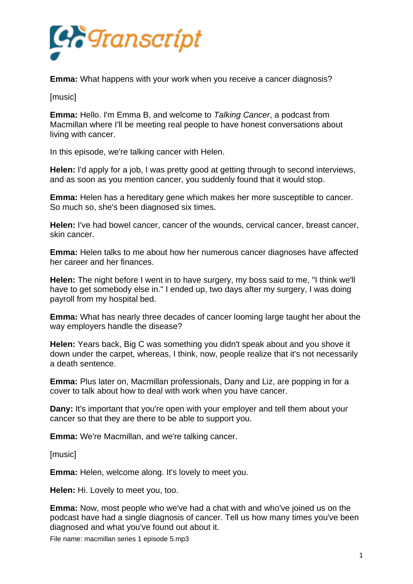

**Emma:** What happens with your work when you receive a cancer diagnosis?

[music]

**Emma:** Hello. I'm Emma B, and welcome to *Talking Cancer*, a podcast from Macmillan where I'll be meeting real people to have honest conversations about living with cancer.

In this episode, we're talking cancer with Helen.

**Helen:** I'd apply for a job, I was pretty good at getting through to second interviews, and as soon as you mention cancer, you suddenly found that it would stop.

**Emma:** Helen has a hereditary gene which makes her more susceptible to cancer. So much so, she's been diagnosed six times.

**Helen:** I've had bowel cancer, cancer of the wounds, cervical cancer, breast cancer, skin cancer.

**Emma:** Helen talks to me about how her numerous cancer diagnoses have affected her career and her finances.

**Helen:** The night before I went in to have surgery, my boss said to me, "I think we'll have to get somebody else in." I ended up, two days after my surgery, I was doing payroll from my hospital bed.

**Emma:** What has nearly three decades of cancer looming large taught her about the way employers handle the disease?

**Helen:** Years back, Big C was something you didn't speak about and you shove it down under the carpet, whereas, I think, now, people realize that it's not necessarily a death sentence.

**Emma:** Plus later on, Macmillan professionals, Dany and Liz, are popping in for a cover to talk about how to deal with work when you have cancer.

**Dany:** It's important that you're open with your employer and tell them about your cancer so that they are there to be able to support you.

**Emma:** We're Macmillan, and we're talking cancer.

[music]

**Emma:** Helen, welcome along. It's lovely to meet you.

**Helen:** Hi. Lovely to meet you, too.

**Emma:** Now, most people who we've had a chat with and who've joined us on the podcast have had a single diagnosis of cancer. Tell us how many times you've been diagnosed and what you've found out about it.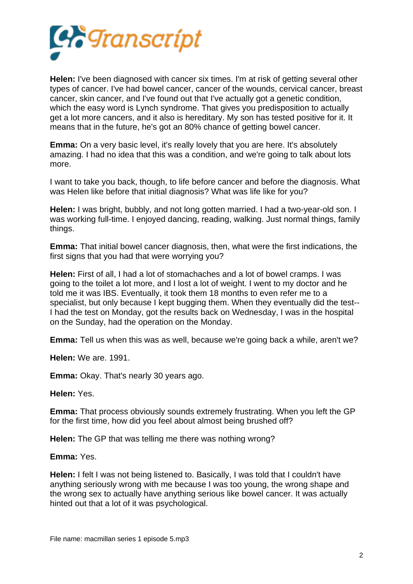

**Helen:** I've been diagnosed with cancer six times. I'm at risk of getting several other types of cancer. I've had bowel cancer, cancer of the wounds, cervical cancer, breast cancer, skin cancer, and I've found out that I've actually got a genetic condition, which the easy word is Lynch syndrome. That gives you predisposition to actually get a lot more cancers, and it also is hereditary. My son has tested positive for it. It means that in the future, he's got an 80% chance of getting bowel cancer.

**Emma:** On a very basic level, it's really lovely that you are here. It's absolutely amazing. I had no idea that this was a condition, and we're going to talk about lots more.

I want to take you back, though, to life before cancer and before the diagnosis. What was Helen like before that initial diagnosis? What was life like for you?

**Helen:** I was bright, bubbly, and not long gotten married. I had a two-year-old son. I was working full-time. I enjoyed dancing, reading, walking. Just normal things, family things.

**Emma:** That initial bowel cancer diagnosis, then, what were the first indications, the first signs that you had that were worrying you?

**Helen:** First of all, I had a lot of stomachaches and a lot of bowel cramps. I was going to the toilet a lot more, and I lost a lot of weight. I went to my doctor and he told me it was IBS. Eventually, it took them 18 months to even refer me to a specialist, but only because I kept bugging them. When they eventually did the test-- I had the test on Monday, got the results back on Wednesday, I was in the hospital on the Sunday, had the operation on the Monday.

**Emma:** Tell us when this was as well, because we're going back a while, aren't we?

**Helen:** We are. 1991.

**Emma:** Okay. That's nearly 30 years ago.

**Helen:** Yes.

**Emma:** That process obviously sounds extremely frustrating. When you left the GP for the first time, how did you feel about almost being brushed off?

**Helen:** The GP that was telling me there was nothing wrong?

**Emma:** Yes.

**Helen:** I felt I was not being listened to. Basically, I was told that I couldn't have anything seriously wrong with me because I was too young, the wrong shape and the wrong sex to actually have anything serious like bowel cancer. It was actually hinted out that a lot of it was psychological.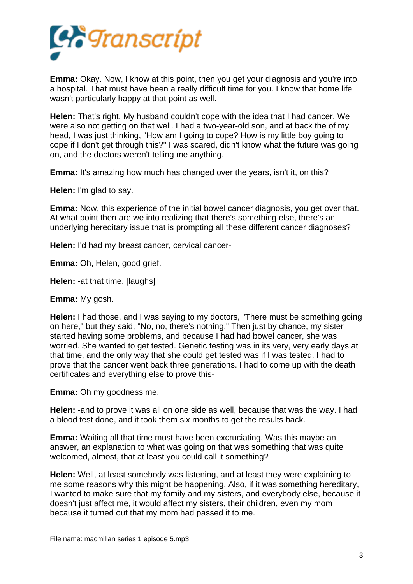

**Emma:** Okay. Now, I know at this point, then you get your diagnosis and you're into a hospital. That must have been a really difficult time for you. I know that home life wasn't particularly happy at that point as well.

**Helen:** That's right. My husband couldn't cope with the idea that I had cancer. We were also not getting on that well. I had a two-year-old son, and at back the of my head, I was just thinking, "How am I going to cope? How is my little boy going to cope if I don't get through this?" I was scared, didn't know what the future was going on, and the doctors weren't telling me anything.

**Emma:** It's amazing how much has changed over the years, isn't it, on this?

**Helen:** I'm glad to say.

**Emma:** Now, this experience of the initial bowel cancer diagnosis, you get over that. At what point then are we into realizing that there's something else, there's an underlying hereditary issue that is prompting all these different cancer diagnoses?

**Helen:** I'd had my breast cancer, cervical cancer-

**Emma:** Oh, Helen, good grief.

**Helen:** -at that time. [laughs]

**Emma:** My gosh.

**Helen:** I had those, and I was saying to my doctors, "There must be something going on here," but they said, "No, no, there's nothing." Then just by chance, my sister started having some problems, and because I had had bowel cancer, she was worried. She wanted to get tested. Genetic testing was in its very, very early days at that time, and the only way that she could get tested was if I was tested. I had to prove that the cancer went back three generations. I had to come up with the death certificates and everything else to prove this-

**Emma:** Oh my goodness me.

**Helen:** -and to prove it was all on one side as well, because that was the way. I had a blood test done, and it took them six months to get the results back.

**Emma:** Waiting all that time must have been excruciating. Was this maybe an answer, an explanation to what was going on that was something that was quite welcomed, almost, that at least you could call it something?

**Helen:** Well, at least somebody was listening, and at least they were explaining to me some reasons why this might be happening. Also, if it was something hereditary, I wanted to make sure that my family and my sisters, and everybody else, because it doesn't just affect me, it would affect my sisters, their children, even my mom because it turned out that my mom had passed it to me.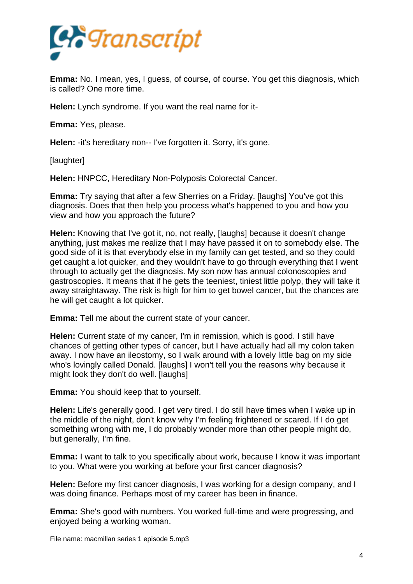

**Emma:** No. I mean, yes, I guess, of course, of course. You get this diagnosis, which is called? One more time.

**Helen:** Lynch syndrome. If you want the real name for it-

**Emma:** Yes, please.

**Helen:** -it's hereditary non-- I've forgotten it. Sorry, it's gone.

[laughter]

**Helen:** HNPCC, Hereditary Non-Polyposis Colorectal Cancer.

**Emma:** Try saying that after a few Sherries on a Friday. [laughs] You've got this diagnosis. Does that then help you process what's happened to you and how you view and how you approach the future?

**Helen:** Knowing that I've got it, no, not really, [laughs] because it doesn't change anything, just makes me realize that I may have passed it on to somebody else. The good side of it is that everybody else in my family can get tested, and so they could get caught a lot quicker, and they wouldn't have to go through everything that I went through to actually get the diagnosis. My son now has annual colonoscopies and gastroscopies. It means that if he gets the teeniest, tiniest little polyp, they will take it away straightaway. The risk is high for him to get bowel cancer, but the chances are he will get caught a lot quicker.

**Emma:** Tell me about the current state of your cancer.

**Helen:** Current state of my cancer, I'm in remission, which is good. I still have chances of getting other types of cancer, but I have actually had all my colon taken away. I now have an ileostomy, so I walk around with a lovely little bag on my side who's lovingly called Donald. [laughs] I won't tell you the reasons why because it might look they don't do well. [laughs]

**Emma:** You should keep that to yourself.

**Helen:** Life's generally good. I get very tired. I do still have times when I wake up in the middle of the night, don't know why I'm feeling frightened or scared. If I do get something wrong with me, I do probably wonder more than other people might do, but generally, I'm fine.

**Emma:** I want to talk to you specifically about work, because I know it was important to you. What were you working at before your first cancer diagnosis?

**Helen:** Before my first cancer diagnosis, I was working for a design company, and I was doing finance. Perhaps most of my career has been in finance.

**Emma:** She's good with numbers. You worked full-time and were progressing, and enjoyed being a working woman.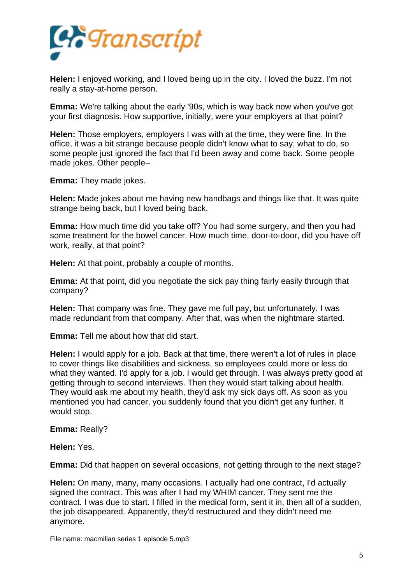

**Helen:** I enjoyed working, and I loved being up in the city. I loved the buzz. I'm not really a stay-at-home person.

**Emma:** We're talking about the early '90s, which is way back now when you've got your first diagnosis. How supportive, initially, were your employers at that point?

**Helen:** Those employers, employers I was with at the time, they were fine. In the office, it was a bit strange because people didn't know what to say, what to do, so some people just ignored the fact that I'd been away and come back. Some people made jokes. Other people--

**Emma:** They made jokes.

**Helen:** Made jokes about me having new handbags and things like that. It was quite strange being back, but I loved being back.

**Emma:** How much time did you take off? You had some surgery, and then you had some treatment for the bowel cancer. How much time, door-to-door, did you have off work, really, at that point?

**Helen:** At that point, probably a couple of months.

**Emma:** At that point, did you negotiate the sick pay thing fairly easily through that company?

**Helen:** That company was fine. They gave me full pay, but unfortunately, I was made redundant from that company. After that, was when the nightmare started.

**Emma:** Tell me about how that did start.

**Helen:** I would apply for a job. Back at that time, there weren't a lot of rules in place to cover things like disabilities and sickness, so employees could more or less do what they wanted. I'd apply for a job. I would get through. I was always pretty good at getting through to second interviews. Then they would start talking about health. They would ask me about my health, they'd ask my sick days off. As soon as you mentioned you had cancer, you suddenly found that you didn't get any further. It would stop.

**Emma:** Really?

**Helen:** Yes.

**Emma:** Did that happen on several occasions, not getting through to the next stage?

**Helen:** On many, many, many occasions. I actually had one contract, I'd actually signed the contract. This was after I had my WHIM cancer. They sent me the contract. I was due to start. I filled in the medical form, sent it in, then all of a sudden, the job disappeared. Apparently, they'd restructured and they didn't need me anymore.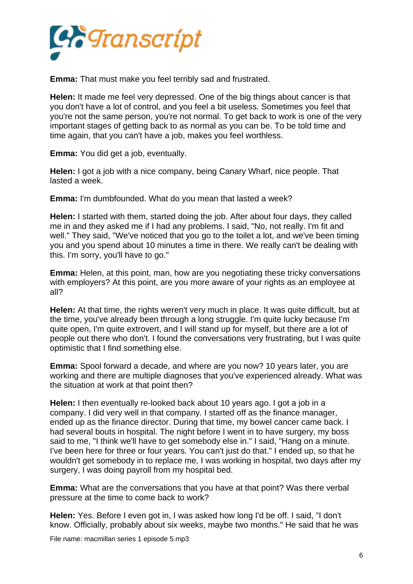

**Emma:** That must make you feel terribly sad and frustrated.

**Helen:** It made me feel very depressed. One of the big things about cancer is that you don't have a lot of control, and you feel a bit useless. Sometimes you feel that you're not the same person, you're not normal. To get back to work is one of the very important stages of getting back to as normal as you can be. To be told time and time again, that you can't have a job, makes you feel worthless.

**Emma:** You did get a job, eventually.

**Helen:** I got a job with a nice company, being Canary Wharf, nice people. That lasted a week.

**Emma:** I'm dumbfounded. What do you mean that lasted a week?

**Helen:** I started with them, started doing the job. After about four days, they called me in and they asked me if I had any problems. I said, "No, not really. I'm fit and well." They said, "We've noticed that you go to the toilet a lot, and we've been timing you and you spend about 10 minutes a time in there. We really can't be dealing with this. I'm sorry, you'll have to go."

**Emma:** Helen, at this point, man, how are you negotiating these tricky conversations with employers? At this point, are you more aware of your rights as an employee at all?

**Helen:** At that time, the rights weren't very much in place. It was quite difficult, but at the time, you've already been through a long struggle. I'm quite lucky because I'm quite open, I'm quite extrovert, and I will stand up for myself, but there are a lot of people out there who don't. I found the conversations very frustrating, but I was quite optimistic that I find something else.

**Emma:** Spool forward a decade, and where are you now? 10 years later, you are working and there are multiple diagnoses that you've experienced already. What was the situation at work at that point then?

**Helen:** I then eventually re-looked back about 10 years ago. I got a job in a company. I did very well in that company. I started off as the finance manager, ended up as the finance director. During that time, my bowel cancer came back. I had several bouts in hospital. The night before I went in to have surgery, my boss said to me, "I think we'll have to get somebody else in." I said, "Hang on a minute. I've been here for three or four years. You can't just do that." I ended up, so that he wouldn't get somebody in to replace me, I was working in hospital, two days after my surgery, I was doing payroll from my hospital bed.

**Emma:** What are the conversations that you have at that point? Was there verbal pressure at the time to come back to work?

**Helen:** Yes. Before I even got in, I was asked how long I'd be off. I said, "I don't know. Officially, probably about six weeks, maybe two months." He said that he was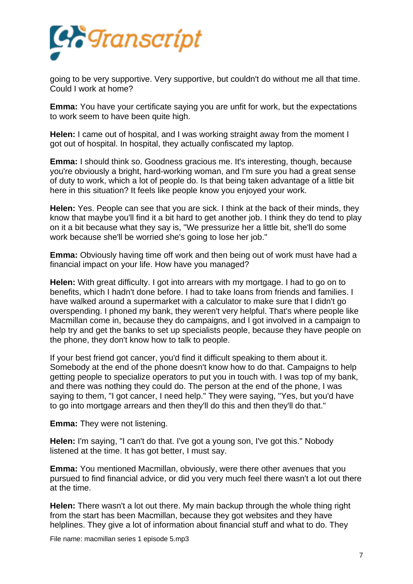

going to be very supportive. Very supportive, but couldn't do without me all that time. Could I work at home?

**Emma:** You have your certificate saying you are unfit for work, but the expectations to work seem to have been quite high.

**Helen:** I came out of hospital, and I was working straight away from the moment I got out of hospital. In hospital, they actually confiscated my laptop.

**Emma:** I should think so. Goodness gracious me. It's interesting, though, because you're obviously a bright, hard-working woman, and I'm sure you had a great sense of duty to work, which a lot of people do. Is that being taken advantage of a little bit here in this situation? It feels like people know you enjoyed your work.

**Helen:** Yes. People can see that you are sick. I think at the back of their minds, they know that maybe you'll find it a bit hard to get another job. I think they do tend to play on it a bit because what they say is, "We pressurize her a little bit, she'll do some work because she'll be worried she's going to lose her job."

**Emma:** Obviously having time off work and then being out of work must have had a financial impact on your life. How have you managed?

**Helen:** With great difficulty. I got into arrears with my mortgage. I had to go on to benefits, which I hadn't done before. I had to take loans from friends and families. I have walked around a supermarket with a calculator to make sure that I didn't go overspending. I phoned my bank, they weren't very helpful. That's where people like Macmillan come in, because they do campaigns, and I got involved in a campaign to help try and get the banks to set up specialists people, because they have people on the phone, they don't know how to talk to people.

If your best friend got cancer, you'd find it difficult speaking to them about it. Somebody at the end of the phone doesn't know how to do that. Campaigns to help getting people to specialize operators to put you in touch with. I was top of my bank, and there was nothing they could do. The person at the end of the phone, I was saying to them, "I got cancer, I need help." They were saying, "Yes, but you'd have to go into mortgage arrears and then they'll do this and then they'll do that."

**Emma:** They were not listening.

**Helen:** I'm saying, "I can't do that. I've got a young son, I've got this." Nobody listened at the time. It has got better, I must say.

**Emma:** You mentioned Macmillan, obviously, were there other avenues that you pursued to find financial advice, or did you very much feel there wasn't a lot out there at the time.

**Helen:** There wasn't a lot out there. My main backup through the whole thing right from the start has been Macmillan, because they got websites and they have helplines. They give a lot of information about financial stuff and what to do. They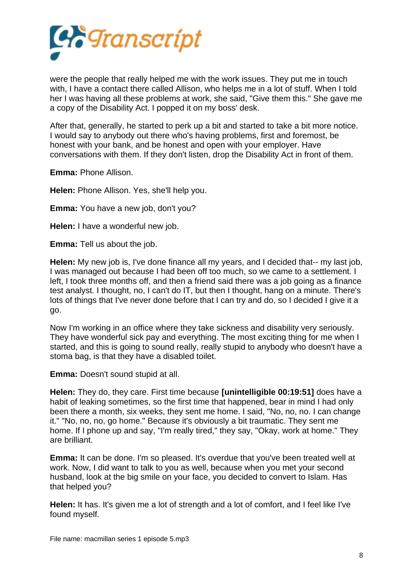

were the people that really helped me with the work issues. They put me in touch with, I have a contact there called Allison, who helps me in a lot of stuff. When I told her I was having all these problems at work, she said, "Give them this." She gave me a copy of the Disability Act. I popped it on my boss' desk.

After that, generally, he started to perk up a bit and started to take a bit more notice. I would say to anybody out there who's having problems, first and foremost, be honest with your bank, and be honest and open with your employer. Have conversations with them. If they don't listen, drop the Disability Act in front of them.

**Emma:** Phone Allison.

**Helen:** Phone Allison. Yes, she'll help you.

**Emma:** You have a new job, don't you?

**Helen:** I have a wonderful new job.

**Emma:** Tell us about the job.

**Helen:** My new job is, I've done finance all my years, and I decided that-- my last job, I was managed out because I had been off too much, so we came to a settlement. I left, I took three months off, and then a friend said there was a job going as a finance test analyst. I thought, no, I can't do IT, but then I thought, hang on a minute. There's lots of things that I've never done before that I can try and do, so I decided I give it a go.

Now I'm working in an office where they take sickness and disability very seriously. They have wonderful sick pay and everything. The most exciting thing for me when I started, and this is going to sound really, really stupid to anybody who doesn't have a stoma bag, is that they have a disabled toilet.

**Emma:** Doesn't sound stupid at all.

**Helen:** They do, they care. First time because **[unintelligible 00:19:51]** does have a habit of leaking sometimes, so the first time that happened, bear in mind I had only been there a month, six weeks, they sent me home. I said, "No, no, no. I can change it." "No, no, no, go home." Because it's obviously a bit traumatic. They sent me home. If I phone up and say, "I'm really tired," they say, "Okay, work at home." They are brilliant.

**Emma:** It can be done. I'm so pleased. It's overdue that you've been treated well at work. Now, I did want to talk to you as well, because when you met your second husband, look at the big smile on your face, you decided to convert to Islam. Has that helped you?

**Helen:** It has. It's given me a lot of strength and a lot of comfort, and I feel like I've found myself.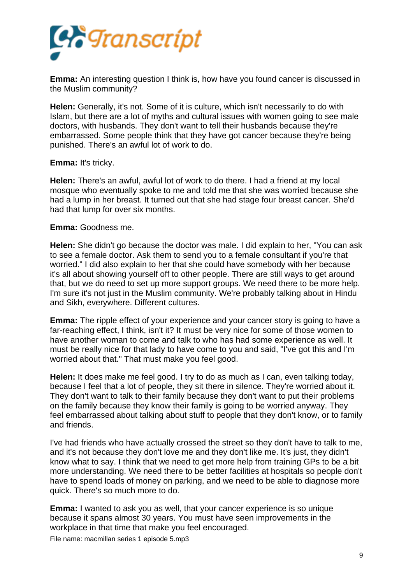

**Emma:** An interesting question I think is, how have you found cancer is discussed in the Muslim community?

**Helen:** Generally, it's not. Some of it is culture, which isn't necessarily to do with Islam, but there are a lot of myths and cultural issues with women going to see male doctors, with husbands. They don't want to tell their husbands because they're embarrassed. Some people think that they have got cancer because they're being punished. There's an awful lot of work to do.

## **Emma:** It's tricky.

**Helen:** There's an awful, awful lot of work to do there. I had a friend at my local mosque who eventually spoke to me and told me that she was worried because she had a lump in her breast. It turned out that she had stage four breast cancer. She'd had that lump for over six months.

## **Emma:** Goodness me.

**Helen:** She didn't go because the doctor was male. I did explain to her, "You can ask to see a female doctor. Ask them to send you to a female consultant if you're that worried." I did also explain to her that she could have somebody with her because it's all about showing yourself off to other people. There are still ways to get around that, but we do need to set up more support groups. We need there to be more help. I'm sure it's not just in the Muslim community. We're probably talking about in Hindu and Sikh, everywhere. Different cultures.

**Emma:** The ripple effect of your experience and your cancer story is going to have a far-reaching effect, I think, isn't it? It must be very nice for some of those women to have another woman to come and talk to who has had some experience as well. It must be really nice for that lady to have come to you and said, "I've got this and I'm worried about that." That must make you feel good.

**Helen:** It does make me feel good. I try to do as much as I can, even talking today, because I feel that a lot of people, they sit there in silence. They're worried about it. They don't want to talk to their family because they don't want to put their problems on the family because they know their family is going to be worried anyway. They feel embarrassed about talking about stuff to people that they don't know, or to family and friends.

I've had friends who have actually crossed the street so they don't have to talk to me, and it's not because they don't love me and they don't like me. It's just, they didn't know what to say. I think that we need to get more help from training GPs to be a bit more understanding. We need there to be better facilities at hospitals so people don't have to spend loads of money on parking, and we need to be able to diagnose more quick. There's so much more to do.

**Emma:** I wanted to ask you as well, that your cancer experience is so unique because it spans almost 30 years. You must have seen improvements in the workplace in that time that make you feel encouraged.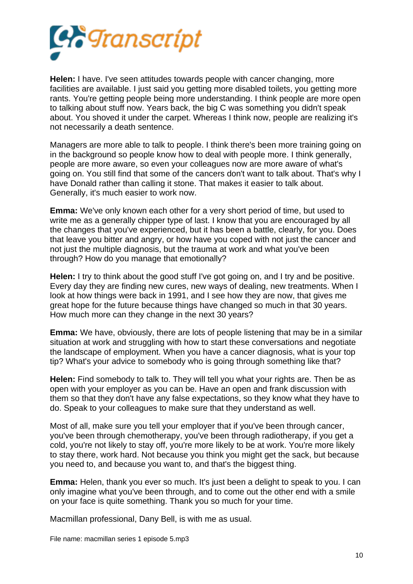

**Helen:** I have. I've seen attitudes towards people with cancer changing, more facilities are available. I just said you getting more disabled toilets, you getting more rants. You're getting people being more understanding. I think people are more open to talking about stuff now. Years back, the big C was something you didn't speak about. You shoved it under the carpet. Whereas I think now, people are realizing it's not necessarily a death sentence.

Managers are more able to talk to people. I think there's been more training going on in the background so people know how to deal with people more. I think generally, people are more aware, so even your colleagues now are more aware of what's going on. You still find that some of the cancers don't want to talk about. That's why I have Donald rather than calling it stone. That makes it easier to talk about. Generally, it's much easier to work now.

**Emma:** We've only known each other for a very short period of time, but used to write me as a generally chipper type of last. I know that you are encouraged by all the changes that you've experienced, but it has been a battle, clearly, for you. Does that leave you bitter and angry, or how have you coped with not just the cancer and not just the multiple diagnosis, but the trauma at work and what you've been through? How do you manage that emotionally?

**Helen:** I try to think about the good stuff I've got going on, and I try and be positive. Every day they are finding new cures, new ways of dealing, new treatments. When I look at how things were back in 1991, and I see how they are now, that gives me great hope for the future because things have changed so much in that 30 years. How much more can they change in the next 30 years?

**Emma:** We have, obviously, there are lots of people listening that may be in a similar situation at work and struggling with how to start these conversations and negotiate the landscape of employment. When you have a cancer diagnosis, what is your top tip? What's your advice to somebody who is going through something like that?

**Helen:** Find somebody to talk to. They will tell you what your rights are. Then be as open with your employer as you can be. Have an open and frank discussion with them so that they don't have any false expectations, so they know what they have to do. Speak to your colleagues to make sure that they understand as well.

Most of all, make sure you tell your employer that if you've been through cancer, you've been through chemotherapy, you've been through radiotherapy, if you get a cold, you're not likely to stay off, you're more likely to be at work. You're more likely to stay there, work hard. Not because you think you might get the sack, but because you need to, and because you want to, and that's the biggest thing.

**Emma:** Helen, thank you ever so much. It's just been a delight to speak to you. I can only imagine what you've been through, and to come out the other end with a smile on your face is quite something. Thank you so much for your time.

Macmillan professional, Dany Bell, is with me as usual.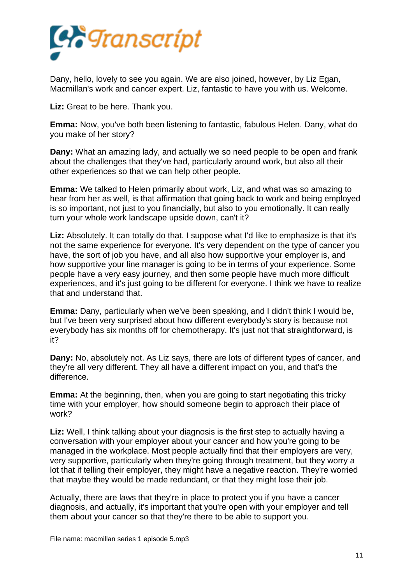

Dany, hello, lovely to see you again. We are also joined, however, by Liz Egan, Macmillan's work and cancer expert. Liz, fantastic to have you with us. Welcome.

**Liz:** Great to be here. Thank you.

**Emma:** Now, you've both been listening to fantastic, fabulous Helen. Dany, what do you make of her story?

**Dany:** What an amazing lady, and actually we so need people to be open and frank about the challenges that they've had, particularly around work, but also all their other experiences so that we can help other people.

**Emma:** We talked to Helen primarily about work, Liz, and what was so amazing to hear from her as well, is that affirmation that going back to work and being employed is so important, not just to you financially, but also to you emotionally. It can really turn your whole work landscape upside down, can't it?

**Liz:** Absolutely. It can totally do that. I suppose what I'd like to emphasize is that it's not the same experience for everyone. It's very dependent on the type of cancer you have, the sort of job you have, and all also how supportive your employer is, and how supportive your line manager is going to be in terms of your experience. Some people have a very easy journey, and then some people have much more difficult experiences, and it's just going to be different for everyone. I think we have to realize that and understand that.

**Emma:** Dany, particularly when we've been speaking, and I didn't think I would be, but I've been very surprised about how different everybody's story is because not everybody has six months off for chemotherapy. It's just not that straightforward, is it?

**Dany:** No, absolutely not. As Liz says, there are lots of different types of cancer, and they're all very different. They all have a different impact on you, and that's the difference.

**Emma:** At the beginning, then, when you are going to start negotiating this tricky time with your employer, how should someone begin to approach their place of work?

**Liz:** Well, I think talking about your diagnosis is the first step to actually having a conversation with your employer about your cancer and how you're going to be managed in the workplace. Most people actually find that their employers are very, very supportive, particularly when they're going through treatment, but they worry a lot that if telling their employer, they might have a negative reaction. They're worried that maybe they would be made redundant, or that they might lose their job.

Actually, there are laws that they're in place to protect you if you have a cancer diagnosis, and actually, it's important that you're open with your employer and tell them about your cancer so that they're there to be able to support you.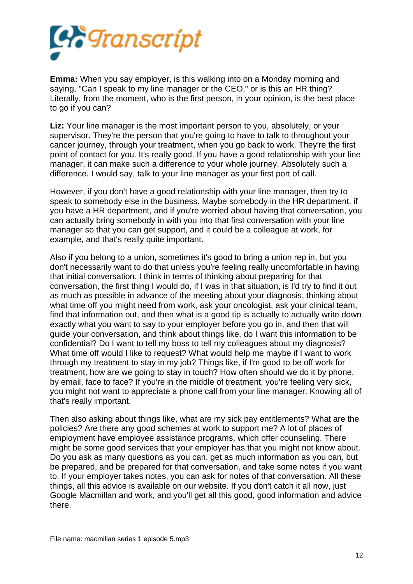

**Emma:** When you say employer, is this walking into on a Monday morning and saying, "Can I speak to my line manager or the CEO," or is this an HR thing? Literally, from the moment, who is the first person, in your opinion, is the best place to go if you can?

**Liz:** Your line manager is the most important person to you, absolutely, or your supervisor. They're the person that you're going to have to talk to throughout your cancer journey, through your treatment, when you go back to work. They're the first point of contact for you. It's really good. If you have a good relationship with your line manager, it can make such a difference to your whole journey. Absolutely such a difference. I would say, talk to your line manager as your first port of call.

However, if you don't have a good relationship with your line manager, then try to speak to somebody else in the business. Maybe somebody in the HR department, if you have a HR department, and if you're worried about having that conversation, you can actually bring somebody in with you into that first conversation with your line manager so that you can get support, and it could be a colleague at work, for example, and that's really quite important.

Also if you belong to a union, sometimes it's good to bring a union rep in, but you don't necessarily want to do that unless you're feeling really uncomfortable in having that initial conversation. I think in terms of thinking about preparing for that conversation, the first thing I would do, if I was in that situation, is I'd try to find it out as much as possible in advance of the meeting about your diagnosis, thinking about what time off you might need from work, ask your oncologist, ask your clinical team, find that information out, and then what is a good tip is actually to actually write down exactly what you want to say to your employer before you go in, and then that will guide your conversation, and think about things like, do I want this information to be confidential? Do I want to tell my boss to tell my colleagues about my diagnosis? What time off would I like to request? What would help me maybe if I want to work through my treatment to stay in my job? Things like, if I'm good to be off work for treatment, how are we going to stay in touch? How often should we do it by phone, by email, face to face? If you're in the middle of treatment, you're feeling very sick, you might not want to appreciate a phone call from your line manager. Knowing all of that's really important.

Then also asking about things like, what are my sick pay entitlements? What are the policies? Are there any good schemes at work to support me? A lot of places of employment have employee assistance programs, which offer counseling. There might be some good services that your employer has that you might not know about. Do you ask as many questions as you can, get as much information as you can, but be prepared, and be prepared for that conversation, and take some notes if you want to. If your employer takes notes, you can ask for notes of that conversation. All these things, all this advice is available on our website. If you don't catch it all now, just Google Macmillan and work, and you'll get all this good, good information and advice there.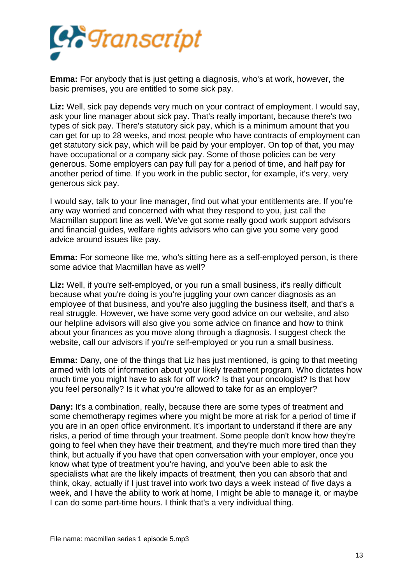

**Emma:** For anybody that is just getting a diagnosis, who's at work, however, the basic premises, you are entitled to some sick pay.

**Liz:** Well, sick pay depends very much on your contract of employment. I would say, ask your line manager about sick pay. That's really important, because there's two types of sick pay. There's statutory sick pay, which is a minimum amount that you can get for up to 28 weeks, and most people who have contracts of employment can get statutory sick pay, which will be paid by your employer. On top of that, you may have occupational or a company sick pay. Some of those policies can be very generous. Some employers can pay full pay for a period of time, and half pay for another period of time. If you work in the public sector, for example, it's very, very generous sick pay.

I would say, talk to your line manager, find out what your entitlements are. If you're any way worried and concerned with what they respond to you, just call the Macmillan support line as well. We've got some really good work support advisors and financial guides, welfare rights advisors who can give you some very good advice around issues like pay.

**Emma:** For someone like me, who's sitting here as a self-employed person, is there some advice that Macmillan have as well?

**Liz:** Well, if you're self-employed, or you run a small business, it's really difficult because what you're doing is you're juggling your own cancer diagnosis as an employee of that business, and you're also juggling the business itself, and that's a real struggle. However, we have some very good advice on our website, and also our helpline advisors will also give you some advice on finance and how to think about your finances as you move along through a diagnosis. I suggest check the website, call our advisors if you're self-employed or you run a small business.

**Emma:** Dany, one of the things that Liz has just mentioned, is going to that meeting armed with lots of information about your likely treatment program. Who dictates how much time you might have to ask for off work? Is that your oncologist? Is that how you feel personally? Is it what you're allowed to take for as an employer?

**Dany:** It's a combination, really, because there are some types of treatment and some chemotherapy regimes where you might be more at risk for a period of time if you are in an open office environment. It's important to understand if there are any risks, a period of time through your treatment. Some people don't know how they're going to feel when they have their treatment, and they're much more tired than they think, but actually if you have that open conversation with your employer, once you know what type of treatment you're having, and you've been able to ask the specialists what are the likely impacts of treatment, then you can absorb that and think, okay, actually if I just travel into work two days a week instead of five days a week, and I have the ability to work at home, I might be able to manage it, or maybe I can do some part-time hours. I think that's a very individual thing.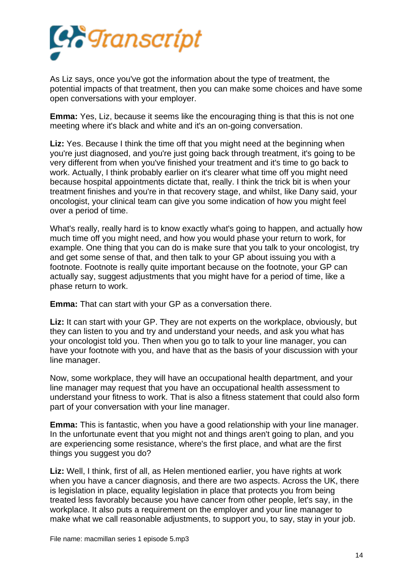

As Liz says, once you've got the information about the type of treatment, the potential impacts of that treatment, then you can make some choices and have some open conversations with your employer.

**Emma:** Yes, Liz, because it seems like the encouraging thing is that this is not one meeting where it's black and white and it's an on-going conversation.

**Liz:** Yes. Because I think the time off that you might need at the beginning when you're just diagnosed, and you're just going back through treatment, it's going to be very different from when you've finished your treatment and it's time to go back to work. Actually, I think probably earlier on it's clearer what time off you might need because hospital appointments dictate that, really. I think the trick bit is when your treatment finishes and you're in that recovery stage, and whilst, like Dany said, your oncologist, your clinical team can give you some indication of how you might feel over a period of time.

What's really, really hard is to know exactly what's going to happen, and actually how much time off you might need, and how you would phase your return to work, for example. One thing that you can do is make sure that you talk to your oncologist, try and get some sense of that, and then talk to your GP about issuing you with a footnote. Footnote is really quite important because on the footnote, your GP can actually say, suggest adjustments that you might have for a period of time, like a phase return to work.

**Emma:** That can start with your GP as a conversation there.

Liz: It can start with your GP. They are not experts on the workplace, obviously, but they can listen to you and try and understand your needs, and ask you what has your oncologist told you. Then when you go to talk to your line manager, you can have your footnote with you, and have that as the basis of your discussion with your line manager.

Now, some workplace, they will have an occupational health department, and your line manager may request that you have an occupational health assessment to understand your fitness to work. That is also a fitness statement that could also form part of your conversation with your line manager.

**Emma:** This is fantastic, when you have a good relationship with your line manager. In the unfortunate event that you might not and things aren't going to plan, and you are experiencing some resistance, where's the first place, and what are the first things you suggest you do?

**Liz:** Well, I think, first of all, as Helen mentioned earlier, you have rights at work when you have a cancer diagnosis, and there are two aspects. Across the UK, there is legislation in place, equality legislation in place that protects you from being treated less favorably because you have cancer from other people, let's say, in the workplace. It also puts a requirement on the employer and your line manager to make what we call reasonable adjustments, to support you, to say, stay in your job.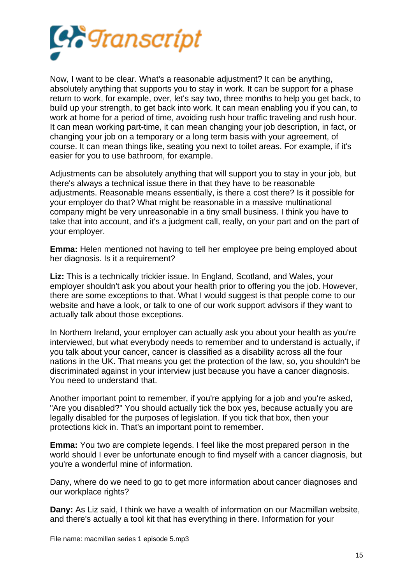

Now, I want to be clear. What's a reasonable adjustment? It can be anything, absolutely anything that supports you to stay in work. It can be support for a phase return to work, for example, over, let's say two, three months to help you get back, to build up your strength, to get back into work. It can mean enabling you if you can, to work at home for a period of time, avoiding rush hour traffic traveling and rush hour. It can mean working part-time, it can mean changing your job description, in fact, or changing your job on a temporary or a long term basis with your agreement, of course. It can mean things like, seating you next to toilet areas. For example, if it's easier for you to use bathroom, for example.

Adjustments can be absolutely anything that will support you to stay in your job, but there's always a technical issue there in that they have to be reasonable adjustments. Reasonable means essentially, is there a cost there? Is it possible for your employer do that? What might be reasonable in a massive multinational company might be very unreasonable in a tiny small business. I think you have to take that into account, and it's a judgment call, really, on your part and on the part of your employer.

**Emma:** Helen mentioned not having to tell her employee pre being employed about her diagnosis. Is it a requirement?

**Liz:** This is a technically trickier issue. In England, Scotland, and Wales, your employer shouldn't ask you about your health prior to offering you the job. However, there are some exceptions to that. What I would suggest is that people come to our website and have a look, or talk to one of our work support advisors if they want to actually talk about those exceptions.

In Northern Ireland, your employer can actually ask you about your health as you're interviewed, but what everybody needs to remember and to understand is actually, if you talk about your cancer, cancer is classified as a disability across all the four nations in the UK. That means you get the protection of the law, so, you shouldn't be discriminated against in your interview just because you have a cancer diagnosis. You need to understand that.

Another important point to remember, if you're applying for a job and you're asked, "Are you disabled?" You should actually tick the box yes, because actually you are legally disabled for the purposes of legislation. If you tick that box, then your protections kick in. That's an important point to remember.

**Emma:** You two are complete legends. I feel like the most prepared person in the world should I ever be unfortunate enough to find myself with a cancer diagnosis, but you're a wonderful mine of information.

Dany, where do we need to go to get more information about cancer diagnoses and our workplace rights?

**Dany:** As Liz said, I think we have a wealth of information on our Macmillan website, and there's actually a tool kit that has everything in there. Information for your